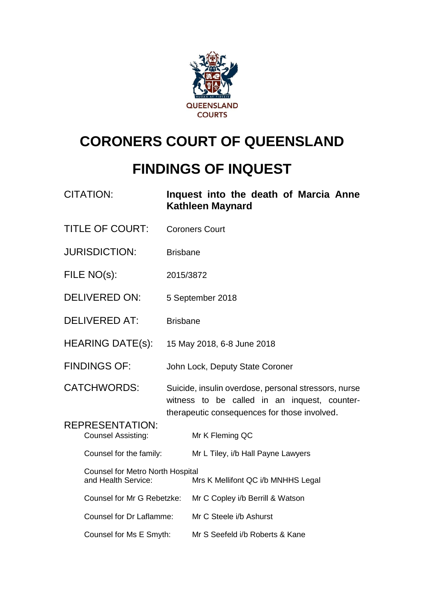

# **CORONERS COURT OF QUEENSLAND**

# **FINDINGS OF INQUEST**

| <b>CITATION:</b>                                               | Inquest into the death of Marcia Anne<br><b>Kathleen Maynard</b>                                                                                     |  |
|----------------------------------------------------------------|------------------------------------------------------------------------------------------------------------------------------------------------------|--|
| <b>TITLE OF COURT:</b>                                         | <b>Coroners Court</b>                                                                                                                                |  |
| <b>JURISDICTION:</b>                                           | <b>Brisbane</b>                                                                                                                                      |  |
| FILE NO(s):                                                    | 2015/3872                                                                                                                                            |  |
| <b>DELIVERED ON:</b>                                           | 5 September 2018                                                                                                                                     |  |
| <b>DELIVERED AT:</b>                                           | <b>Brisbane</b>                                                                                                                                      |  |
| <b>HEARING DATE(s):</b>                                        | 15 May 2018, 6-8 June 2018                                                                                                                           |  |
| <b>FINDINGS OF:</b>                                            | John Lock, Deputy State Coroner                                                                                                                      |  |
| <b>CATCHWORDS:</b>                                             | Suicide, insulin overdose, personal stressors, nurse<br>witness to be called in an inquest, counter-<br>therapeutic consequences for those involved. |  |
| <b>REPRESENTATION:</b><br><b>Counsel Assisting:</b>            | Mr K Fleming QC                                                                                                                                      |  |
| Counsel for the family:                                        | Mr L Tiley, i/b Hall Payne Lawyers                                                                                                                   |  |
| <b>Counsel for Metro North Hospital</b><br>and Health Service: | Mrs K Mellifont QC i/b MNHHS Legal                                                                                                                   |  |
| Counsel for Mr G Rebetzke:                                     | Mr C Copley i/b Berrill & Watson                                                                                                                     |  |
| Counsel for Dr Laflamme:                                       | Mr C Steele i/b Ashurst                                                                                                                              |  |
| Counsel for Ms E Smyth:                                        | Mr S Seefeld i/b Roberts & Kane                                                                                                                      |  |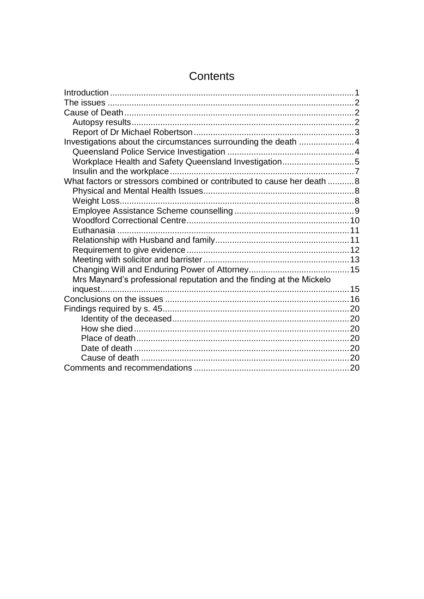| Investigations about the circumstances surrounding the death 4         |  |
|------------------------------------------------------------------------|--|
|                                                                        |  |
| Workplace Health and Safety Queensland Investigation5                  |  |
|                                                                        |  |
| What factors or stressors combined or contributed to cause her death 8 |  |
|                                                                        |  |
|                                                                        |  |
|                                                                        |  |
|                                                                        |  |
|                                                                        |  |
|                                                                        |  |
|                                                                        |  |
|                                                                        |  |
|                                                                        |  |
| Mrs Maynard's professional reputation and the finding at the Mickelo   |  |
|                                                                        |  |
|                                                                        |  |
|                                                                        |  |
|                                                                        |  |
|                                                                        |  |
|                                                                        |  |
|                                                                        |  |
|                                                                        |  |
|                                                                        |  |

# Contents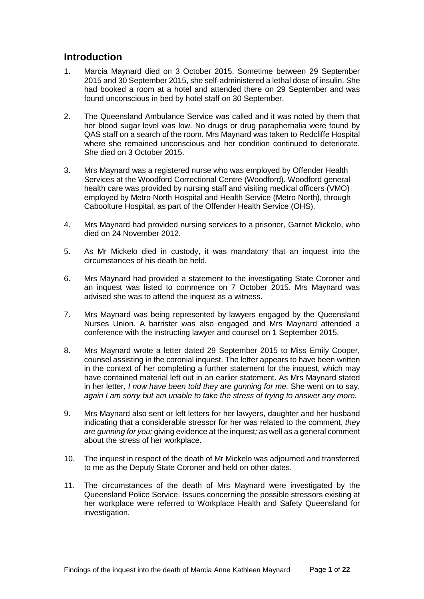## <span id="page-2-0"></span>**Introduction**

- 1. Marcia Maynard died on 3 October 2015. Sometime between 29 September 2015 and 30 September 2015, she self-administered a lethal dose of insulin. She had booked a room at a hotel and attended there on 29 September and was found unconscious in bed by hotel staff on 30 September.
- 2. The Queensland Ambulance Service was called and it was noted by them that her blood sugar level was low. No drugs or drug paraphernalia were found by QAS staff on a search of the room. Mrs Maynard was taken to Redcliffe Hospital where she remained unconscious and her condition continued to deteriorate. She died on 3 October 2015.
- 3. Mrs Maynard was a registered nurse who was employed by Offender Health Services at the Woodford Correctional Centre (Woodford). Woodford general health care was provided by nursing staff and visiting medical officers (VMO) employed by Metro North Hospital and Health Service (Metro North), through Caboolture Hospital, as part of the Offender Health Service (OHS).
- 4. Mrs Maynard had provided nursing services to a prisoner, Garnet Mickelo, who died on 24 November 2012.
- 5. As Mr Mickelo died in custody, it was mandatory that an inquest into the circumstances of his death be held.
- 6. Mrs Maynard had provided a statement to the investigating State Coroner and an inquest was listed to commence on 7 October 2015. Mrs Maynard was advised she was to attend the inquest as a witness.
- 7. Mrs Maynard was being represented by lawyers engaged by the Queensland Nurses Union. A barrister was also engaged and Mrs Maynard attended a conference with the instructing lawyer and counsel on 1 September 2015.
- 8. Mrs Maynard wrote a letter dated 29 September 2015 to Miss Emily Cooper, counsel assisting in the coronial inquest. The letter appears to have been written in the context of her completing a further statement for the inquest, which may have contained material left out in an earlier statement. As Mrs Maynard stated in her letter, *I now have been told they are gunning for me.* She went on to say, *again I am sorry but am unable to take the stress of trying to answer any more.*
- 9. Mrs Maynard also sent or left letters for her lawyers, daughter and her husband indicating that a considerable stressor for her was related to the comment, *they are gunning for you;* giving evidence at the inquest*;* as well as a general comment about the stress of her workplace.
- 10. The inquest in respect of the death of Mr Mickelo was adjourned and transferred to me as the Deputy State Coroner and held on other dates.
- 11. The circumstances of the death of Mrs Maynard were investigated by the Queensland Police Service. Issues concerning the possible stressors existing at her workplace were referred to Workplace Health and Safety Queensland for investigation.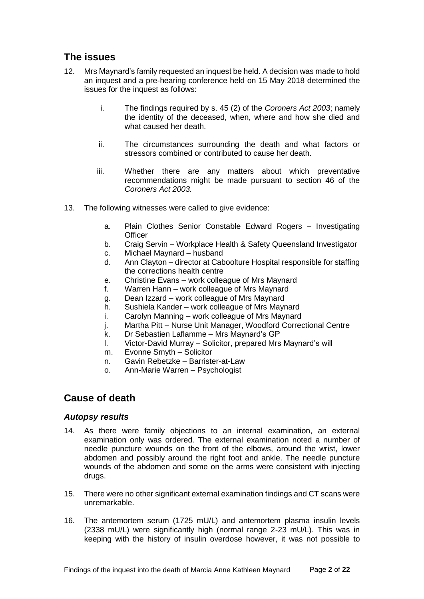# <span id="page-3-0"></span>**The issues**

- 12. Mrs Maynard's family requested an inquest be held. A decision was made to hold an inquest and a pre-hearing conference held on 15 May 2018 determined the issues for the inquest as follows:
	- i. The findings required by s. 45 (2) of the *Coroners Act 2003*; namely the identity of the deceased, when, where and how she died and what caused her death.
	- ii. The circumstances surrounding the death and what factors or stressors combined or contributed to cause her death.
	- iii. Whether there are any matters about which preventative recommendations might be made pursuant to section 46 of the *Coroners Act 2003.*
- 13. The following witnesses were called to give evidence:
	- a. Plain Clothes Senior Constable Edward Rogers Investigating **Officer**
	- b. Craig Servin Workplace Health & Safety Queensland Investigator
	- c. Michael Maynard husband
	- d. Ann Clayton director at Caboolture Hospital responsible for staffing the corrections health centre
	- e. Christine Evans work colleague of Mrs Maynard
	- f. Warren Hann work colleague of Mrs Maynard
	- g. Dean Izzard work colleague of Mrs Maynard
	- h. Sushiela Kander work colleague of Mrs Maynard
	- i. Carolyn Manning work colleague of Mrs Maynard
	- j. Martha Pitt Nurse Unit Manager, Woodford Correctional Centre
	- k. Dr Sebastien Laflamme Mrs Maynard's GP
	- l. Victor-David Murray Solicitor, prepared Mrs Maynard's will
	- m. Evonne Smyth Solicitor
	- n. Gavin Rebetzke Barrister-at-Law
	- o. Ann-Marie Warren Psychologist

### <span id="page-3-1"></span>**Cause of death**

#### <span id="page-3-2"></span>*Autopsy results*

- 14. As there were family objections to an internal examination, an external examination only was ordered. The external examination noted a number of needle puncture wounds on the front of the elbows, around the wrist, lower abdomen and possibly around the right foot and ankle. The needle puncture wounds of the abdomen and some on the arms were consistent with injecting drugs.
- 15. There were no other significant external examination findings and CT scans were unremarkable.
- 16. The antemortem serum (1725 mU/L) and antemortem plasma insulin levels (2338 mU/L) were significantly high (normal range 2-23 mU/L). This was in keeping with the history of insulin overdose however, it was not possible to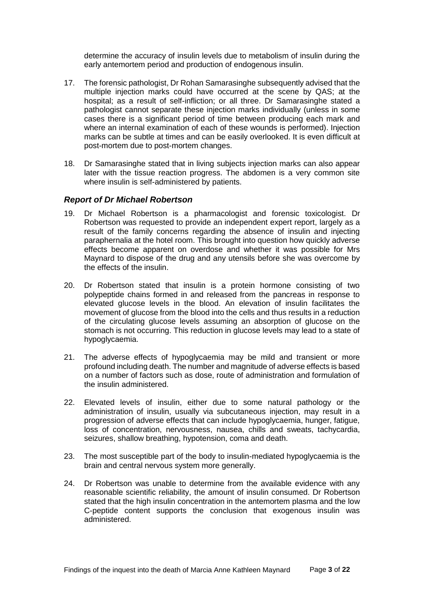determine the accuracy of insulin levels due to metabolism of insulin during the early antemortem period and production of endogenous insulin.

- 17. The forensic pathologist, Dr Rohan Samarasinghe subsequently advised that the multiple injection marks could have occurred at the scene by QAS; at the hospital; as a result of self-infliction; or all three. Dr Samarasinghe stated a pathologist cannot separate these injection marks individually (unless in some cases there is a significant period of time between producing each mark and where an internal examination of each of these wounds is performed). Injection marks can be subtle at times and can be easily overlooked. It is even difficult at post-mortem due to post-mortem changes.
- 18. Dr Samarasinghe stated that in living subjects injection marks can also appear later with the tissue reaction progress. The abdomen is a very common site where insulin is self-administered by patients.

#### <span id="page-4-0"></span>*Report of Dr Michael Robertson*

- 19. Dr Michael Robertson is a pharmacologist and forensic toxicologist. Dr Robertson was requested to provide an independent expert report, largely as a result of the family concerns regarding the absence of insulin and injecting paraphernalia at the hotel room. This brought into question how quickly adverse effects become apparent on overdose and whether it was possible for Mrs Maynard to dispose of the drug and any utensils before she was overcome by the effects of the insulin.
- 20. Dr Robertson stated that insulin is a protein hormone consisting of two polypeptide chains formed in and released from the pancreas in response to elevated glucose levels in the blood. An elevation of insulin facilitates the movement of glucose from the blood into the cells and thus results in a reduction of the circulating glucose levels assuming an absorption of glucose on the stomach is not occurring. This reduction in glucose levels may lead to a state of hypoglycaemia.
- 21. The adverse effects of hypoglycaemia may be mild and transient or more profound including death. The number and magnitude of adverse effects is based on a number of factors such as dose, route of administration and formulation of the insulin administered.
- 22. Elevated levels of insulin, either due to some natural pathology or the administration of insulin, usually via subcutaneous injection, may result in a progression of adverse effects that can include hypoglycaemia, hunger, fatigue, loss of concentration, nervousness, nausea, chills and sweats, tachycardia, seizures, shallow breathing, hypotension, coma and death.
- 23. The most susceptible part of the body to insulin-mediated hypoglycaemia is the brain and central nervous system more generally.
- 24. Dr Robertson was unable to determine from the available evidence with any reasonable scientific reliability, the amount of insulin consumed. Dr Robertson stated that the high insulin concentration in the antemortem plasma and the low C-peptide content supports the conclusion that exogenous insulin was administered.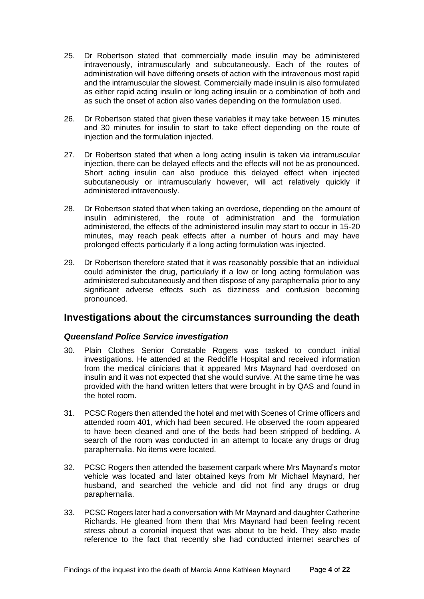- 25. Dr Robertson stated that commercially made insulin may be administered intravenously, intramuscularly and subcutaneously. Each of the routes of administration will have differing onsets of action with the intravenous most rapid and the intramuscular the slowest. Commercially made insulin is also formulated as either rapid acting insulin or long acting insulin or a combination of both and as such the onset of action also varies depending on the formulation used.
- 26. Dr Robertson stated that given these variables it may take between 15 minutes and 30 minutes for insulin to start to take effect depending on the route of injection and the formulation injected.
- 27. Dr Robertson stated that when a long acting insulin is taken via intramuscular injection, there can be delayed effects and the effects will not be as pronounced. Short acting insulin can also produce this delayed effect when injected subcutaneously or intramuscularly however, will act relatively quickly if administered intravenously.
- 28. Dr Robertson stated that when taking an overdose, depending on the amount of insulin administered, the route of administration and the formulation administered, the effects of the administered insulin may start to occur in 15-20 minutes, may reach peak effects after a number of hours and may have prolonged effects particularly if a long acting formulation was injected.
- 29. Dr Robertson therefore stated that it was reasonably possible that an individual could administer the drug, particularly if a low or long acting formulation was administered subcutaneously and then dispose of any paraphernalia prior to any significant adverse effects such as dizziness and confusion becoming pronounced.

## <span id="page-5-0"></span>**Investigations about the circumstances surrounding the death**

#### <span id="page-5-1"></span>*Queensland Police Service investigation*

- 30. Plain Clothes Senior Constable Rogers was tasked to conduct initial investigations. He attended at the Redcliffe Hospital and received information from the medical clinicians that it appeared Mrs Maynard had overdosed on insulin and it was not expected that she would survive. At the same time he was provided with the hand written letters that were brought in by QAS and found in the hotel room.
- 31. PCSC Rogers then attended the hotel and met with Scenes of Crime officers and attended room 401, which had been secured. He observed the room appeared to have been cleaned and one of the beds had been stripped of bedding. A search of the room was conducted in an attempt to locate any drugs or drug paraphernalia. No items were located.
- 32. PCSC Rogers then attended the basement carpark where Mrs Maynard's motor vehicle was located and later obtained keys from Mr Michael Maynard, her husband, and searched the vehicle and did not find any drugs or drug paraphernalia.
- 33. PCSC Rogers later had a conversation with Mr Maynard and daughter Catherine Richards. He gleaned from them that Mrs Maynard had been feeling recent stress about a coronial inquest that was about to be held. They also made reference to the fact that recently she had conducted internet searches of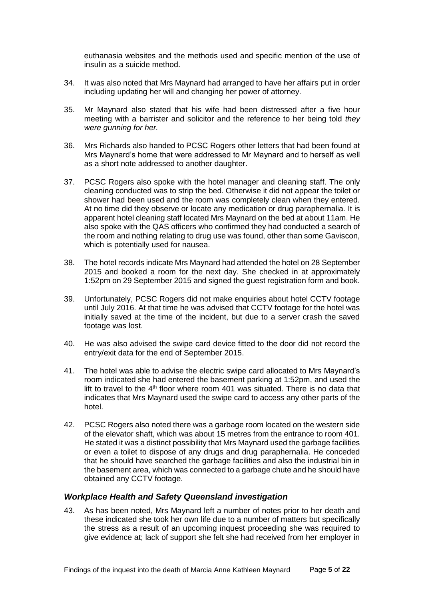euthanasia websites and the methods used and specific mention of the use of insulin as a suicide method.

- 34. It was also noted that Mrs Maynard had arranged to have her affairs put in order including updating her will and changing her power of attorney.
- 35. Mr Maynard also stated that his wife had been distressed after a five hour meeting with a barrister and solicitor and the reference to her being told *they were gunning for her.*
- 36. Mrs Richards also handed to PCSC Rogers other letters that had been found at Mrs Maynard's home that were addressed to Mr Maynard and to herself as well as a short note addressed to another daughter.
- 37. PCSC Rogers also spoke with the hotel manager and cleaning staff. The only cleaning conducted was to strip the bed. Otherwise it did not appear the toilet or shower had been used and the room was completely clean when they entered. At no time did they observe or locate any medication or drug paraphernalia. It is apparent hotel cleaning staff located Mrs Maynard on the bed at about 11am. He also spoke with the QAS officers who confirmed they had conducted a search of the room and nothing relating to drug use was found, other than some Gaviscon, which is potentially used for nausea.
- 38. The hotel records indicate Mrs Maynard had attended the hotel on 28 September 2015 and booked a room for the next day. She checked in at approximately 1:52pm on 29 September 2015 and signed the guest registration form and book.
- 39. Unfortunately, PCSC Rogers did not make enquiries about hotel CCTV footage until July 2016. At that time he was advised that CCTV footage for the hotel was initially saved at the time of the incident, but due to a server crash the saved footage was lost.
- 40. He was also advised the swipe card device fitted to the door did not record the entry/exit data for the end of September 2015.
- 41. The hotel was able to advise the electric swipe card allocated to Mrs Maynard's room indicated she had entered the basement parking at 1:52pm, and used the lift to travel to the  $4<sup>th</sup>$  floor where room 401 was situated. There is no data that indicates that Mrs Maynard used the swipe card to access any other parts of the hotel.
- 42. PCSC Rogers also noted there was a garbage room located on the western side of the elevator shaft, which was about 15 metres from the entrance to room 401. He stated it was a distinct possibility that Mrs Maynard used the garbage facilities or even a toilet to dispose of any drugs and drug paraphernalia. He conceded that he should have searched the garbage facilities and also the industrial bin in the basement area, which was connected to a garbage chute and he should have obtained any CCTV footage.

#### <span id="page-6-0"></span>*Workplace Health and Safety Queensland investigation*

43. As has been noted, Mrs Maynard left a number of notes prior to her death and these indicated she took her own life due to a number of matters but specifically the stress as a result of an upcoming inquest proceeding she was required to give evidence at; lack of support she felt she had received from her employer in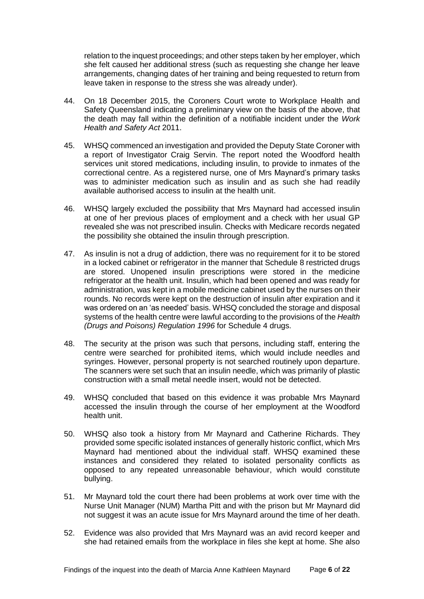relation to the inquest proceedings; and other steps taken by her employer, which she felt caused her additional stress (such as requesting she change her leave arrangements, changing dates of her training and being requested to return from leave taken in response to the stress she was already under).

- 44. On 18 December 2015, the Coroners Court wrote to Workplace Health and Safety Queensland indicating a preliminary view on the basis of the above, that the death may fall within the definition of a notifiable incident under the *Work Health and Safety Act* 2011.
- 45. WHSQ commenced an investigation and provided the Deputy State Coroner with a report of Investigator Craig Servin. The report noted the Woodford health services unit stored medications, including insulin, to provide to inmates of the correctional centre. As a registered nurse, one of Mrs Maynard's primary tasks was to administer medication such as insulin and as such she had readily available authorised access to insulin at the health unit.
- 46. WHSQ largely excluded the possibility that Mrs Maynard had accessed insulin at one of her previous places of employment and a check with her usual GP revealed she was not prescribed insulin. Checks with Medicare records negated the possibility she obtained the insulin through prescription.
- 47. As insulin is not a drug of addiction, there was no requirement for it to be stored in a locked cabinet or refrigerator in the manner that Schedule 8 restricted drugs are stored. Unopened insulin prescriptions were stored in the medicine refrigerator at the health unit. Insulin, which had been opened and was ready for administration, was kept in a mobile medicine cabinet used by the nurses on their rounds. No records were kept on the destruction of insulin after expiration and it was ordered on an 'as needed' basis. WHSQ concluded the storage and disposal systems of the health centre were lawful according to the provisions of the *Health (Drugs and Poisons) Regulation 1996* for Schedule 4 drugs.
- 48. The security at the prison was such that persons, including staff, entering the centre were searched for prohibited items, which would include needles and syringes. However, personal property is not searched routinely upon departure. The scanners were set such that an insulin needle, which was primarily of plastic construction with a small metal needle insert, would not be detected.
- 49. WHSQ concluded that based on this evidence it was probable Mrs Maynard accessed the insulin through the course of her employment at the Woodford health unit.
- 50. WHSQ also took a history from Mr Maynard and Catherine Richards. They provided some specific isolated instances of generally historic conflict, which Mrs Maynard had mentioned about the individual staff. WHSQ examined these instances and considered they related to isolated personality conflicts as opposed to any repeated unreasonable behaviour, which would constitute bullying.
- 51. Mr Maynard told the court there had been problems at work over time with the Nurse Unit Manager (NUM) Martha Pitt and with the prison but Mr Maynard did not suggest it was an acute issue for Mrs Maynard around the time of her death.
- 52. Evidence was also provided that Mrs Maynard was an avid record keeper and she had retained emails from the workplace in files she kept at home. She also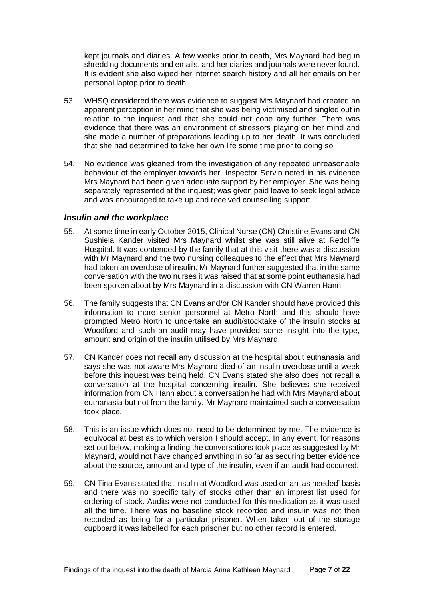kept journals and diaries. A few weeks prior to death, Mrs Maynard had begun shredding documents and emails, and her diaries and journals were never found. It is evident she also wiped her internet search history and all her emails on her personal laptop prior to death.

- 53. WHSQ considered there was evidence to suggest Mrs Maynard had created an apparent perception in her mind that she was being victimised and singled out in relation to the inquest and that she could not cope any further. There was evidence that there was an environment of stressors playing on her mind and she made a number of preparations leading up to her death. It was concluded that she had determined to take her own life some time prior to doing so.
- 54. No evidence was gleaned from the investigation of any repeated unreasonable behaviour of the employer towards her. Inspector Servin noted in his evidence Mrs Maynard had been given adequate support by her employer. She was being separately represented at the inquest; was given paid leave to seek legal advice and was encouraged to take up and received counselling support.

#### <span id="page-8-0"></span>*Insulin and the workplace*

- 55. At some time in early October 2015, Clinical Nurse (CN) Christine Evans and CN Sushiela Kander visited Mrs Maynard whilst she was still alive at Redcliffe Hospital. It was contended by the family that at this visit there was a discussion with Mr Maynard and the two nursing colleagues to the effect that Mrs Maynard had taken an overdose of insulin. Mr Maynard further suggested that in the same conversation with the two nurses it was raised that at some point euthanasia had been spoken about by Mrs Maynard in a discussion with CN Warren Hann.
- 56. The family suggests that CN Evans and/or CN Kander should have provided this information to more senior personnel at Metro North and this should have prompted Metro North to undertake an audit/stocktake of the insulin stocks at Woodford and such an audit may have provided some insight into the type, amount and origin of the insulin utilised by Mrs Maynard.
- 57. CN Kander does not recall any discussion at the hospital about euthanasia and says she was not aware Mrs Maynard died of an insulin overdose until a week before this inquest was being held. CN Evans stated she also does not recall a conversation at the hospital concerning insulin. She believes she received information from CN Hann about a conversation he had with Mrs Maynard about euthanasia but not from the family. Mr Maynard maintained such a conversation took place.
- 58. This is an issue which does not need to be determined by me. The evidence is equivocal at best as to which version I should accept. In any event, for reasons set out below, making a finding the conversations took place as suggested by Mr Maynard, would not have changed anything in so far as securing better evidence about the source, amount and type of the insulin, even if an audit had occurred.
- 59. CN Tina Evans stated that insulin at Woodford was used on an 'as needed' basis and there was no specific tally of stocks other than an imprest list used for ordering of stock. Audits were not conducted for this medication as it was used all the time. There was no baseline stock recorded and insulin was not then recorded as being for a particular prisoner. When taken out of the storage cupboard it was labelled for each prisoner but no other record is entered.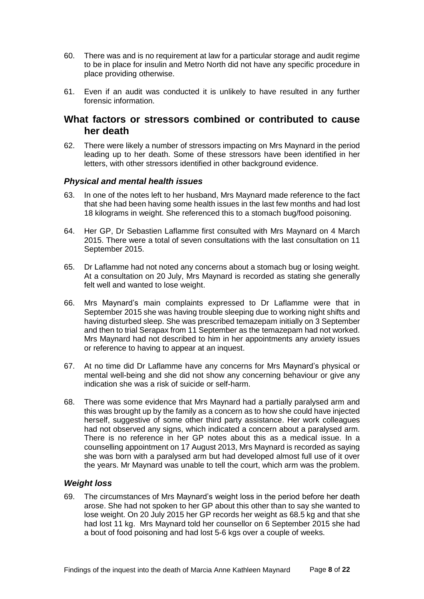- 60. There was and is no requirement at law for a particular storage and audit regime to be in place for insulin and Metro North did not have any specific procedure in place providing otherwise.
- 61. Even if an audit was conducted it is unlikely to have resulted in any further forensic information.

### <span id="page-9-0"></span>**What factors or stressors combined or contributed to cause her death**

62. There were likely a number of stressors impacting on Mrs Maynard in the period leading up to her death. Some of these stressors have been identified in her letters, with other stressors identified in other background evidence.

#### <span id="page-9-1"></span>*Physical and mental health issues*

- 63. In one of the notes left to her husband, Mrs Maynard made reference to the fact that she had been having some health issues in the last few months and had lost 18 kilograms in weight. She referenced this to a stomach bug/food poisoning.
- 64. Her GP, Dr Sebastien Laflamme first consulted with Mrs Maynard on 4 March 2015. There were a total of seven consultations with the last consultation on 11 September 2015.
- 65. Dr Laflamme had not noted any concerns about a stomach bug or losing weight. At a consultation on 20 July, Mrs Maynard is recorded as stating she generally felt well and wanted to lose weight.
- 66. Mrs Maynard's main complaints expressed to Dr Laflamme were that in September 2015 she was having trouble sleeping due to working night shifts and having disturbed sleep. She was prescribed temazepam initially on 3 September and then to trial Serapax from 11 September as the temazepam had not worked. Mrs Maynard had not described to him in her appointments any anxiety issues or reference to having to appear at an inquest.
- 67. At no time did Dr Laflamme have any concerns for Mrs Maynard's physical or mental well-being and she did not show any concerning behaviour or give any indication she was a risk of suicide or self-harm.
- 68. There was some evidence that Mrs Maynard had a partially paralysed arm and this was brought up by the family as a concern as to how she could have injected herself, suggestive of some other third party assistance. Her work colleagues had not observed any signs, which indicated a concern about a paralysed arm. There is no reference in her GP notes about this as a medical issue. In a counselling appointment on 17 August 2013, Mrs Maynard is recorded as saying she was born with a paralysed arm but had developed almost full use of it over the years. Mr Maynard was unable to tell the court, which arm was the problem.

#### <span id="page-9-2"></span>*Weight loss*

69. The circumstances of Mrs Maynard's weight loss in the period before her death arose. She had not spoken to her GP about this other than to say she wanted to lose weight. On 20 July 2015 her GP records her weight as 68.5 kg and that she had lost 11 kg. Mrs Maynard told her counsellor on 6 September 2015 she had a bout of food poisoning and had lost 5-6 kgs over a couple of weeks.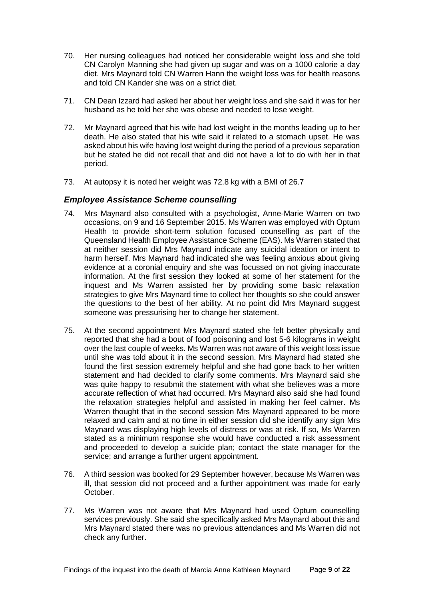- 70. Her nursing colleagues had noticed her considerable weight loss and she told CN Carolyn Manning she had given up sugar and was on a 1000 calorie a day diet. Mrs Maynard told CN Warren Hann the weight loss was for health reasons and told CN Kander she was on a strict diet.
- 71. CN Dean Izzard had asked her about her weight loss and she said it was for her husband as he told her she was obese and needed to lose weight.
- 72. Mr Maynard agreed that his wife had lost weight in the months leading up to her death. He also stated that his wife said it related to a stomach upset. He was asked about his wife having lost weight during the period of a previous separation but he stated he did not recall that and did not have a lot to do with her in that period.
- <span id="page-10-0"></span>73. At autopsy it is noted her weight was 72.8 kg with a BMI of 26.7

#### *Employee Assistance Scheme counselling*

- 74. Mrs Maynard also consulted with a psychologist, Anne-Marie Warren on two occasions, on 9 and 16 September 2015. Ms Warren was employed with Optum Health to provide short-term solution focused counselling as part of the Queensland Health Employee Assistance Scheme (EAS). Ms Warren stated that at neither session did Mrs Maynard indicate any suicidal ideation or intent to harm herself. Mrs Maynard had indicated she was feeling anxious about giving evidence at a coronial enquiry and she was focussed on not giving inaccurate information. At the first session they looked at some of her statement for the inquest and Ms Warren assisted her by providing some basic relaxation strategies to give Mrs Maynard time to collect her thoughts so she could answer the questions to the best of her ability. At no point did Mrs Maynard suggest someone was pressurising her to change her statement.
- 75. At the second appointment Mrs Maynard stated she felt better physically and reported that she had a bout of food poisoning and lost 5-6 kilograms in weight over the last couple of weeks. Ms Warren was not aware of this weight loss issue until she was told about it in the second session. Mrs Maynard had stated she found the first session extremely helpful and she had gone back to her written statement and had decided to clarify some comments. Mrs Maynard said she was quite happy to resubmit the statement with what she believes was a more accurate reflection of what had occurred. Mrs Maynard also said she had found the relaxation strategies helpful and assisted in making her feel calmer. Ms Warren thought that in the second session Mrs Maynard appeared to be more relaxed and calm and at no time in either session did she identify any sign Mrs Maynard was displaying high levels of distress or was at risk. If so, Ms Warren stated as a minimum response she would have conducted a risk assessment and proceeded to develop a suicide plan; contact the state manager for the service; and arrange a further urgent appointment.
- 76. A third session was booked for 29 September however, because Ms Warren was ill, that session did not proceed and a further appointment was made for early October.
- 77. Ms Warren was not aware that Mrs Maynard had used Optum counselling services previously. She said she specifically asked Mrs Maynard about this and Mrs Maynard stated there was no previous attendances and Ms Warren did not check any further.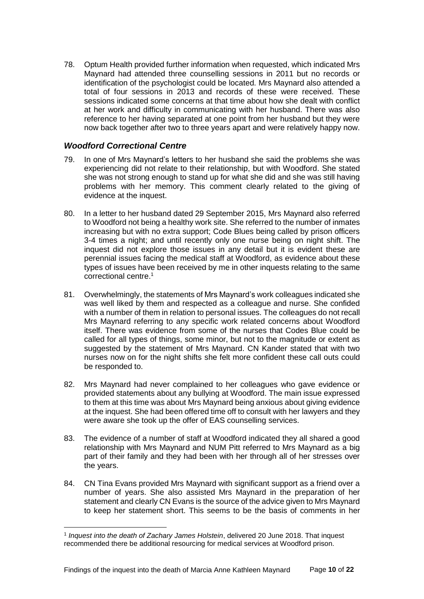78. Optum Health provided further information when requested, which indicated Mrs Maynard had attended three counselling sessions in 2011 but no records or identification of the psychologist could be located. Mrs Maynard also attended a total of four sessions in 2013 and records of these were received. These sessions indicated some concerns at that time about how she dealt with conflict at her work and difficulty in communicating with her husband. There was also reference to her having separated at one point from her husband but they were now back together after two to three years apart and were relatively happy now.

#### <span id="page-11-0"></span>*Woodford Correctional Centre*

l

- 79. In one of Mrs Maynard's letters to her husband she said the problems she was experiencing did not relate to their relationship, but with Woodford. She stated she was not strong enough to stand up for what she did and she was still having problems with her memory. This comment clearly related to the giving of evidence at the inquest.
- 80. In a letter to her husband dated 29 September 2015, Mrs Maynard also referred to Woodford not being a healthy work site. She referred to the number of inmates increasing but with no extra support; Code Blues being called by prison officers 3-4 times a night; and until recently only one nurse being on night shift. The inquest did not explore those issues in any detail but it is evident these are perennial issues facing the medical staff at Woodford, as evidence about these types of issues have been received by me in other inquests relating to the same correctional centre. 1
- 81. Overwhelmingly, the statements of Mrs Maynard's work colleagues indicated she was well liked by them and respected as a colleague and nurse. She confided with a number of them in relation to personal issues. The colleagues do not recall Mrs Maynard referring to any specific work related concerns about Woodford itself. There was evidence from some of the nurses that Codes Blue could be called for all types of things, some minor, but not to the magnitude or extent as suggested by the statement of Mrs Maynard. CN Kander stated that with two nurses now on for the night shifts she felt more confident these call outs could be responded to.
- 82. Mrs Maynard had never complained to her colleagues who gave evidence or provided statements about any bullying at Woodford. The main issue expressed to them at this time was about Mrs Maynard being anxious about giving evidence at the inquest. She had been offered time off to consult with her lawyers and they were aware she took up the offer of EAS counselling services.
- 83. The evidence of a number of staff at Woodford indicated they all shared a good relationship with Mrs Maynard and NUM Pitt referred to Mrs Maynard as a big part of their family and they had been with her through all of her stresses over the years.
- 84. CN Tina Evans provided Mrs Maynard with significant support as a friend over a number of years. She also assisted Mrs Maynard in the preparation of her statement and clearly CN Evans is the source of the advice given to Mrs Maynard to keep her statement short. This seems to be the basis of comments in her

<sup>1</sup> *Inquest into the death of Zachary James Holstein*, delivered 20 June 2018. That inquest recommended there be additional resourcing for medical services at Woodford prison.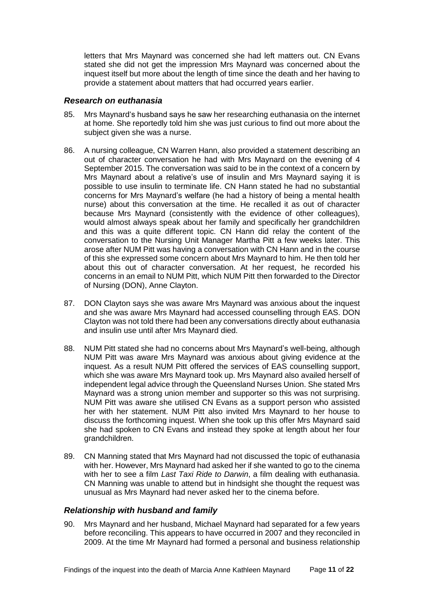letters that Mrs Maynard was concerned she had left matters out. CN Evans stated she did not get the impression Mrs Maynard was concerned about the inquest itself but more about the length of time since the death and her having to provide a statement about matters that had occurred years earlier.

#### <span id="page-12-0"></span>*Research on euthanasia*

- 85. Mrs Maynard's husband says he saw her researching euthanasia on the internet at home. She reportedly told him she was just curious to find out more about the subject given she was a nurse.
- 86. A nursing colleague, CN Warren Hann, also provided a statement describing an out of character conversation he had with Mrs Maynard on the evening of 4 September 2015. The conversation was said to be in the context of a concern by Mrs Maynard about a relative's use of insulin and Mrs Maynard saying it is possible to use insulin to terminate life. CN Hann stated he had no substantial concerns for Mrs Maynard's welfare (he had a history of being a mental health nurse) about this conversation at the time. He recalled it as out of character because Mrs Maynard (consistently with the evidence of other colleagues), would almost always speak about her family and specifically her grandchildren and this was a quite different topic. CN Hann did relay the content of the conversation to the Nursing Unit Manager Martha Pitt a few weeks later. This arose after NUM Pitt was having a conversation with CN Hann and in the course of this she expressed some concern about Mrs Maynard to him. He then told her about this out of character conversation. At her request, he recorded his concerns in an email to NUM Pitt, which NUM Pitt then forwarded to the Director of Nursing (DON), Anne Clayton.
- 87. DON Clayton says she was aware Mrs Maynard was anxious about the inquest and she was aware Mrs Maynard had accessed counselling through EAS. DON Clayton was not told there had been any conversations directly about euthanasia and insulin use until after Mrs Maynard died.
- 88. NUM Pitt stated she had no concerns about Mrs Maynard's well-being, although NUM Pitt was aware Mrs Maynard was anxious about giving evidence at the inquest. As a result NUM Pitt offered the services of EAS counselling support, which she was aware Mrs Maynard took up. Mrs Maynard also availed herself of independent legal advice through the Queensland Nurses Union. She stated Mrs Maynard was a strong union member and supporter so this was not surprising. NUM Pitt was aware she utilised CN Evans as a support person who assisted her with her statement. NUM Pitt also invited Mrs Maynard to her house to discuss the forthcoming inquest. When she took up this offer Mrs Maynard said she had spoken to CN Evans and instead they spoke at length about her four grandchildren.
- 89. CN Manning stated that Mrs Maynard had not discussed the topic of euthanasia with her. However, Mrs Maynard had asked her if she wanted to go to the cinema with her to see a film *Last Taxi Ride to Darwin*, a film dealing with euthanasia. CN Manning was unable to attend but in hindsight she thought the request was unusual as Mrs Maynard had never asked her to the cinema before.

#### <span id="page-12-1"></span>*Relationship with husband and family*

90. Mrs Maynard and her husband, Michael Maynard had separated for a few years before reconciling. This appears to have occurred in 2007 and they reconciled in 2009. At the time Mr Maynard had formed a personal and business relationship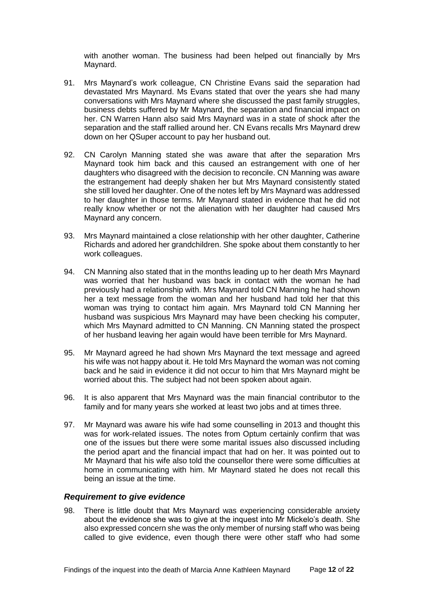with another woman. The business had been helped out financially by Mrs Maynard.

- 91. Mrs Maynard's work colleague, CN Christine Evans said the separation had devastated Mrs Maynard. Ms Evans stated that over the years she had many conversations with Mrs Maynard where she discussed the past family struggles, business debts suffered by Mr Maynard, the separation and financial impact on her. CN Warren Hann also said Mrs Maynard was in a state of shock after the separation and the staff rallied around her. CN Evans recalls Mrs Maynard drew down on her QSuper account to pay her husband out.
- 92. CN Carolyn Manning stated she was aware that after the separation Mrs Maynard took him back and this caused an estrangement with one of her daughters who disagreed with the decision to reconcile. CN Manning was aware the estrangement had deeply shaken her but Mrs Maynard consistently stated she still loved her daughter. One of the notes left by Mrs Maynard was addressed to her daughter in those terms. Mr Maynard stated in evidence that he did not really know whether or not the alienation with her daughter had caused Mrs Maynard any concern.
- 93. Mrs Maynard maintained a close relationship with her other daughter, Catherine Richards and adored her grandchildren. She spoke about them constantly to her work colleagues.
- 94. CN Manning also stated that in the months leading up to her death Mrs Maynard was worried that her husband was back in contact with the woman he had previously had a relationship with. Mrs Maynard told CN Manning he had shown her a text message from the woman and her husband had told her that this woman was trying to contact him again. Mrs Maynard told CN Manning her husband was suspicious Mrs Maynard may have been checking his computer, which Mrs Maynard admitted to CN Manning. CN Manning stated the prospect of her husband leaving her again would have been terrible for Mrs Maynard.
- 95. Mr Maynard agreed he had shown Mrs Maynard the text message and agreed his wife was not happy about it. He told Mrs Maynard the woman was not coming back and he said in evidence it did not occur to him that Mrs Maynard might be worried about this. The subject had not been spoken about again.
- 96. It is also apparent that Mrs Maynard was the main financial contributor to the family and for many years she worked at least two jobs and at times three.
- 97. Mr Maynard was aware his wife had some counselling in 2013 and thought this was for work-related issues. The notes from Optum certainly confirm that was one of the issues but there were some marital issues also discussed including the period apart and the financial impact that had on her. It was pointed out to Mr Maynard that his wife also told the counsellor there were some difficulties at home in communicating with him. Mr Maynard stated he does not recall this being an issue at the time.

#### <span id="page-13-0"></span>*Requirement to give evidence*

98. There is little doubt that Mrs Maynard was experiencing considerable anxiety about the evidence she was to give at the inquest into Mr Mickelo's death. She also expressed concern she was the only member of nursing staff who was being called to give evidence, even though there were other staff who had some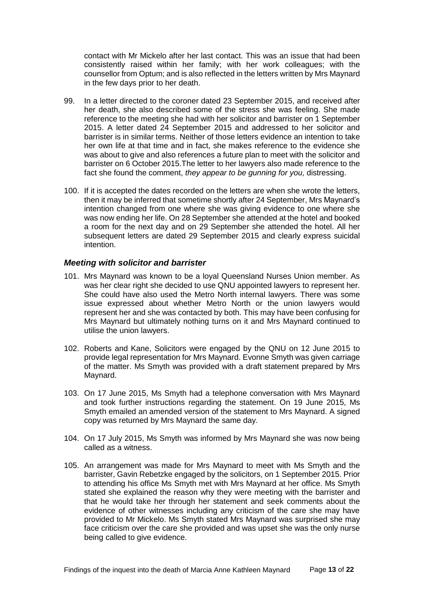contact with Mr Mickelo after her last contact. This was an issue that had been consistently raised within her family; with her work colleagues; with the counsellor from Optum; and is also reflected in the letters written by Mrs Maynard in the few days prior to her death.

- 99. In a letter directed to the coroner dated 23 September 2015, and received after her death, she also described some of the stress she was feeling. She made reference to the meeting she had with her solicitor and barrister on 1 September 2015. A letter dated 24 September 2015 and addressed to her solicitor and barrister is in similar terms. Neither of those letters evidence an intention to take her own life at that time and in fact, she makes reference to the evidence she was about to give and also references a future plan to meet with the solicitor and barrister on 6 October 2015.The letter to her lawyers also made reference to the fact she found the comment, *they appear to be gunning for you,* distressing.
- 100. If it is accepted the dates recorded on the letters are when she wrote the letters, then it may be inferred that sometime shortly after 24 September, Mrs Maynard's intention changed from one where she was giving evidence to one where she was now ending her life. On 28 September she attended at the hotel and booked a room for the next day and on 29 September she attended the hotel. All her subsequent letters are dated 29 September 2015 and clearly express suicidal intention.

#### <span id="page-14-0"></span>*Meeting with solicitor and barrister*

- 101. Mrs Maynard was known to be a loyal Queensland Nurses Union member. As was her clear right she decided to use QNU appointed lawyers to represent her. She could have also used the Metro North internal lawyers. There was some issue expressed about whether Metro North or the union lawyers would represent her and she was contacted by both. This may have been confusing for Mrs Maynard but ultimately nothing turns on it and Mrs Maynard continued to utilise the union lawyers.
- 102. Roberts and Kane, Solicitors were engaged by the QNU on 12 June 2015 to provide legal representation for Mrs Maynard. Evonne Smyth was given carriage of the matter. Ms Smyth was provided with a draft statement prepared by Mrs Maynard.
- 103. On 17 June 2015, Ms Smyth had a telephone conversation with Mrs Maynard and took further instructions regarding the statement. On 19 June 2015, Ms Smyth emailed an amended version of the statement to Mrs Maynard. A signed copy was returned by Mrs Maynard the same day.
- 104. On 17 July 2015, Ms Smyth was informed by Mrs Maynard she was now being called as a witness.
- 105. An arrangement was made for Mrs Maynard to meet with Ms Smyth and the barrister, Gavin Rebetzke engaged by the solicitors, on 1 September 2015. Prior to attending his office Ms Smyth met with Mrs Maynard at her office. Ms Smyth stated she explained the reason why they were meeting with the barrister and that he would take her through her statement and seek comments about the evidence of other witnesses including any criticism of the care she may have provided to Mr Mickelo. Ms Smyth stated Mrs Maynard was surprised she may face criticism over the care she provided and was upset she was the only nurse being called to give evidence.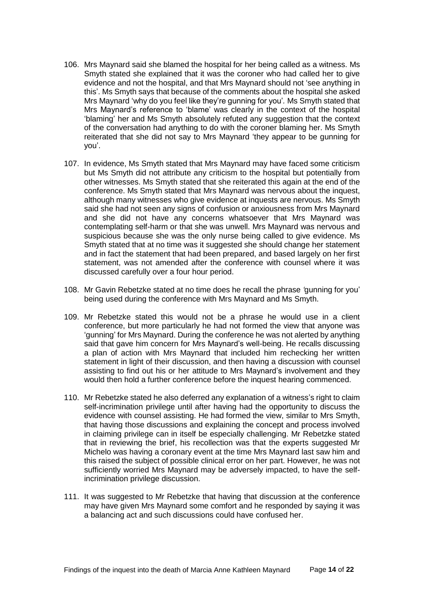- 106. Mrs Maynard said she blamed the hospital for her being called as a witness. Ms Smyth stated she explained that it was the coroner who had called her to give evidence and not the hospital, and that Mrs Maynard should not 'see anything in this'. Ms Smyth says that because of the comments about the hospital she asked Mrs Maynard 'why do you feel like they're gunning for you'*.* Ms Smyth stated that Mrs Maynard's reference to 'blame' was clearly in the context of the hospital 'blaming' her and Ms Smyth absolutely refuted any suggestion that the context of the conversation had anything to do with the coroner blaming her. Ms Smyth reiterated that she did not say to Mrs Maynard 'they appear to be gunning for you'.
- 107. In evidence, Ms Smyth stated that Mrs Maynard may have faced some criticism but Ms Smyth did not attribute any criticism to the hospital but potentially from other witnesses. Ms Smyth stated that she reiterated this again at the end of the conference. Ms Smyth stated that Mrs Maynard was nervous about the inquest, although many witnesses who give evidence at inquests are nervous. Ms Smyth said she had not seen any signs of confusion or anxiousness from Mrs Maynard and she did not have any concerns whatsoever that Mrs Maynard was contemplating self-harm or that she was unwell. Mrs Maynard was nervous and suspicious because she was the only nurse being called to give evidence. Ms Smyth stated that at no time was it suggested she should change her statement and in fact the statement that had been prepared, and based largely on her first statement, was not amended after the conference with counsel where it was discussed carefully over a four hour period.
- 108. Mr Gavin Rebetzke stated at no time does he recall the phrase *'*gunning for you' being used during the conference with Mrs Maynard and Ms Smyth.
- 109. Mr Rebetzke stated this would not be a phrase he would use in a client conference, but more particularly he had not formed the view that anyone was 'gunning' for Mrs Maynard. During the conference he was not alerted by anything said that gave him concern for Mrs Maynard's well-being. He recalls discussing a plan of action with Mrs Maynard that included him rechecking her written statement in light of their discussion, and then having a discussion with counsel assisting to find out his or her attitude to Mrs Maynard's involvement and they would then hold a further conference before the inquest hearing commenced.
- 110. Mr Rebetzke stated he also deferred any explanation of a witness's right to claim self-incrimination privilege until after having had the opportunity to discuss the evidence with counsel assisting. He had formed the view, similar to Mrs Smyth, that having those discussions and explaining the concept and process involved in claiming privilege can in itself be especially challenging. Mr Rebetzke stated that in reviewing the brief, his recollection was that the experts suggested Mr Michelo was having a coronary event at the time Mrs Maynard last saw him and this raised the subject of possible clinical error on her part. However, he was not sufficiently worried Mrs Maynard may be adversely impacted, to have the selfincrimination privilege discussion.
- 111. It was suggested to Mr Rebetzke that having that discussion at the conference may have given Mrs Maynard some comfort and he responded by saying it was a balancing act and such discussions could have confused her.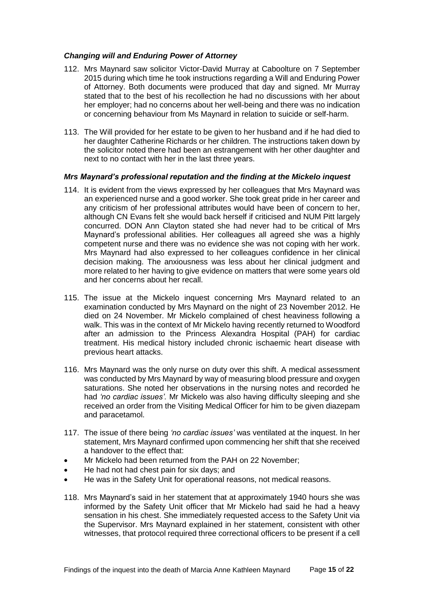#### <span id="page-16-0"></span>*Changing will and Enduring Power of Attorney*

- 112. Mrs Maynard saw solicitor Victor-David Murray at Caboolture on 7 September 2015 during which time he took instructions regarding a Will and Enduring Power of Attorney. Both documents were produced that day and signed. Mr Murray stated that to the best of his recollection he had no discussions with her about her employer; had no concerns about her well-being and there was no indication or concerning behaviour from Ms Maynard in relation to suicide or self-harm.
- 113. The Will provided for her estate to be given to her husband and if he had died to her daughter Catherine Richards or her children. The instructions taken down by the solicitor noted there had been an estrangement with her other daughter and next to no contact with her in the last three years.

#### <span id="page-16-1"></span>*Mrs Maynard's professional reputation and the finding at the Mickelo inquest*

- 114. It is evident from the views expressed by her colleagues that Mrs Maynard was an experienced nurse and a good worker. She took great pride in her career and any criticism of her professional attributes would have been of concern to her, although CN Evans felt she would back herself if criticised and NUM Pitt largely concurred. DON Ann Clayton stated she had never had to be critical of Mrs Maynard's professional abilities. Her colleagues all agreed she was a highly competent nurse and there was no evidence she was not coping with her work. Mrs Maynard had also expressed to her colleagues confidence in her clinical decision making. The anxiousness was less about her clinical judgment and more related to her having to give evidence on matters that were some years old and her concerns about her recall.
- 115. The issue at the Mickelo inquest concerning Mrs Maynard related to an examination conducted by Mrs Maynard on the night of 23 November 2012. He died on 24 November. Mr Mickelo complained of chest heaviness following a walk. This was in the context of Mr Mickelo having recently returned to Woodford after an admission to the Princess Alexandra Hospital (PAH) for cardiac treatment. His medical history included chronic ischaemic heart disease with previous heart attacks.
- 116. Mrs Maynard was the only nurse on duty over this shift. A medical assessment was conducted by Mrs Maynard by way of measuring blood pressure and oxygen saturations. She noted her observations in the nursing notes and recorded he had *'no cardiac issues'.* Mr Mickelo was also having difficulty sleeping and she received an order from the Visiting Medical Officer for him to be given diazepam and paracetamol.
- 117. The issue of there being *'no cardiac issues'* was ventilated at the inquest. In her statement, Mrs Maynard confirmed upon commencing her shift that she received a handover to the effect that:
- Mr Mickelo had been returned from the PAH on 22 November:
- He had not had chest pain for six days; and
- He was in the Safety Unit for operational reasons, not medical reasons.
- 118. Mrs Maynard's said in her statement that at approximately 1940 hours she was informed by the Safety Unit officer that Mr Mickelo had said he had a heavy sensation in his chest. She immediately requested access to the Safety Unit via the Supervisor. Mrs Maynard explained in her statement, consistent with other witnesses, that protocol required three correctional officers to be present if a cell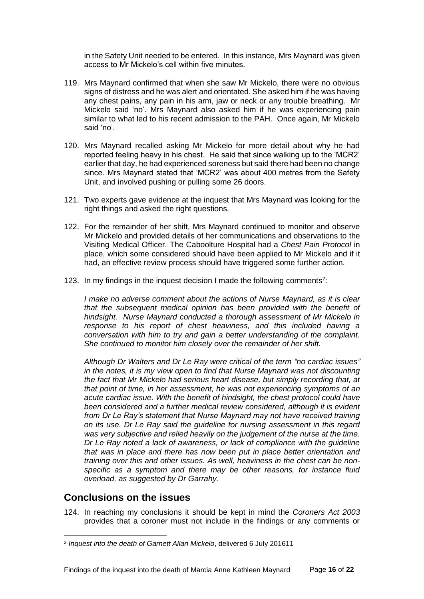in the Safety Unit needed to be entered. In this instance, Mrs Maynard was given access to Mr Mickelo's cell within five minutes.

- 119. Mrs Maynard confirmed that when she saw Mr Mickelo, there were no obvious signs of distress and he was alert and orientated. She asked him if he was having any chest pains, any pain in his arm, jaw or neck or any trouble breathing. Mr Mickelo said 'no'. Mrs Maynard also asked him if he was experiencing pain similar to what led to his recent admission to the PAH. Once again, Mr Mickelo said 'no'.
- 120. Mrs Maynard recalled asking Mr Mickelo for more detail about why he had reported feeling heavy in his chest. He said that since walking up to the 'MCR2' earlier that day, he had experienced soreness but said there had been no change since. Mrs Maynard stated that 'MCR2' was about 400 metres from the Safety Unit, and involved pushing or pulling some 26 doors.
- 121. Two experts gave evidence at the inquest that Mrs Maynard was looking for the right things and asked the right questions.
- 122. For the remainder of her shift, Mrs Maynard continued to monitor and observe Mr Mickelo and provided details of her communications and observations to the Visiting Medical Officer. The Caboolture Hospital had a *Chest Pain Protocol* in place, which some considered should have been applied to Mr Mickelo and if it had, an effective review process should have triggered some further action.
- 123. In my findings in the inquest decision I made the following comments<sup>2</sup>:

*I make no adverse comment about the actions of Nurse Maynard, as it is clear that the subsequent medical opinion has been provided with the benefit of hindsight. Nurse Maynard conducted a thorough assessment of Mr Mickelo in response to his report of chest heaviness, and this included having a conversation with him to try and gain a better understanding of the complaint. She continued to monitor him closely over the remainder of her shift.* 

*Although Dr Walters and Dr Le Ray were critical of the term "no cardiac issues" in the notes, it is my view open to find that Nurse Maynard was not discounting the fact that Mr Mickelo had serious heart disease, but simply recording that, at that point of time, in her assessment, he was not experiencing symptoms of an acute cardiac issue. With the benefit of hindsight, the chest protocol could have*  been considered and a further medical review considered, although it is evident *from Dr Le Ray's statement that Nurse Maynard may not have received training on its use. Dr Le Ray said the guideline for nursing assessment in this regard was very subjective and relied heavily on the judgement of the nurse at the time. Dr Le Ray noted a lack of awareness, or lack of compliance with the guideline that was in place and there has now been put in place better orientation and training over this and other issues. As well, heaviness in the chest can be nonspecific as a symptom and there may be other reasons, for instance fluid overload, as suggested by Dr Garrahy.*

#### <span id="page-17-0"></span>**Conclusions on the issues**

l

124. In reaching my conclusions it should be kept in mind the *Coroners Act 2003*  provides that a coroner must not include in the findings or any comments or

<sup>2</sup> *Inquest into the death of Garnett Allan Mickelo*, delivered 6 July 201611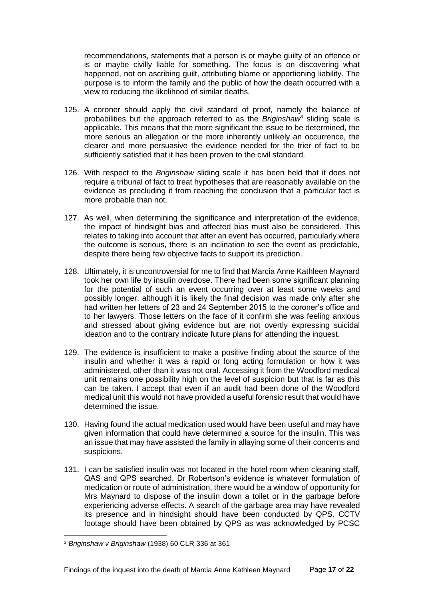recommendations, statements that a person is or maybe guilty of an offence or is or maybe civilly liable for something. The focus is on discovering what happened, not on ascribing guilt, attributing blame or apportioning liability. The purpose is to inform the family and the public of how the death occurred with a view to reducing the likelihood of similar deaths.

- 125. A coroner should apply the civil standard of proof, namely the balance of probabilities but the approach referred to as the *Briginshaw<sup>3</sup>* sliding scale is applicable. This means that the more significant the issue to be determined, the more serious an allegation or the more inherently unlikely an occurrence, the clearer and more persuasive the evidence needed for the trier of fact to be sufficiently satisfied that it has been proven to the civil standard.
- 126. With respect to the *Briginshaw* sliding scale it has been held that it does not require a tribunal of fact to treat hypotheses that are reasonably available on the evidence as precluding it from reaching the conclusion that a particular fact is more probable than not.
- 127. As well, when determining the significance and interpretation of the evidence, the impact of hindsight bias and affected bias must also be considered. This relates to taking into account that after an event has occurred, particularly where the outcome is serious, there is an inclination to see the event as predictable, despite there being few objective facts to support its prediction.
- 128. Ultimately, it is uncontroversial for me to find that Marcia Anne Kathleen Maynard took her own life by insulin overdose. There had been some significant planning for the potential of such an event occurring over at least some weeks and possibly longer, although it is likely the final decision was made only after she had written her letters of 23 and 24 September 2015 to the coroner's office and to her lawyers. Those letters on the face of it confirm she was feeling anxious and stressed about giving evidence but are not overtly expressing suicidal ideation and to the contrary indicate future plans for attending the inquest.
- 129. The evidence is insufficient to make a positive finding about the source of the insulin and whether it was a rapid or long acting formulation or how it was administered, other than it was not oral. Accessing it from the Woodford medical unit remains one possibility high on the level of suspicion but that is far as this can be taken. I accept that even if an audit had been done of the Woodford medical unit this would not have provided a useful forensic result that would have determined the issue.
- 130. Having found the actual medication used would have been useful and may have given information that could have determined a source for the insulin. This was an issue that may have assisted the family in allaying some of their concerns and suspicions.
- 131. I can be satisfied insulin was not located in the hotel room when cleaning staff, QAS and QPS searched. Dr Robertson's evidence is whatever formulation of medication or route of administration, there would be a window of opportunity for Mrs Maynard to dispose of the insulin down a toilet or in the garbage before experiencing adverse effects. A search of the garbage area may have revealed its presence and in hindsight should have been conducted by QPS. CCTV footage should have been obtained by QPS as was acknowledged by PCSC

l

<sup>3</sup> *Briginshaw v Briginshaw* (1938) 60 CLR 336 at 361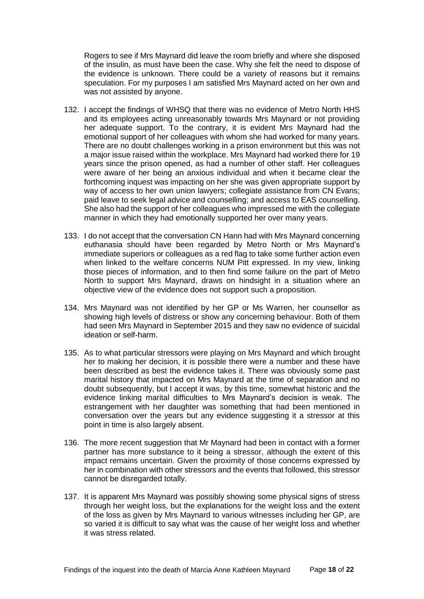Rogers to see if Mrs Maynard did leave the room briefly and where she disposed of the insulin, as must have been the case. Why she felt the need to dispose of the evidence is unknown. There could be a variety of reasons but it remains speculation. For my purposes I am satisfied Mrs Maynard acted on her own and was not assisted by anyone.

- 132. I accept the findings of WHSQ that there was no evidence of Metro North HHS and its employees acting unreasonably towards Mrs Maynard or not providing her adequate support. To the contrary, it is evident Mrs Maynard had the emotional support of her colleagues with whom she had worked for many years. There are no doubt challenges working in a prison environment but this was not a major issue raised within the workplace. Mrs Maynard had worked there for 19 years since the prison opened, as had a number of other staff. Her colleagues were aware of her being an anxious individual and when it became clear the forthcoming inquest was impacting on her she was given appropriate support by way of access to her own union lawyers; collegiate assistance from CN Evans; paid leave to seek legal advice and counselling; and access to EAS counselling. She also had the support of her colleagues who impressed me with the collegiate manner in which they had emotionally supported her over many years.
- 133. I do not accept that the conversation CN Hann had with Mrs Maynard concerning euthanasia should have been regarded by Metro North or Mrs Maynard's immediate superiors or colleagues as a red flag to take some further action even when linked to the welfare concerns NUM Pitt expressed. In my view, linking those pieces of information, and to then find some failure on the part of Metro North to support Mrs Maynard, draws on hindsight in a situation where an objective view of the evidence does not support such a proposition.
- 134. Mrs Maynard was not identified by her GP or Ms Warren, her counsellor as showing high levels of distress or show any concerning behaviour. Both of them had seen Mrs Maynard in September 2015 and they saw no evidence of suicidal ideation or self-harm.
- 135. As to what particular stressors were playing on Mrs Maynard and which brought her to making her decision, it is possible there were a number and these have been described as best the evidence takes it. There was obviously some past marital history that impacted on Mrs Maynard at the time of separation and no doubt subsequently, but I accept it was, by this time, somewhat historic and the evidence linking marital difficulties to Mrs Maynard's decision is weak. The estrangement with her daughter was something that had been mentioned in conversation over the years but any evidence suggesting it a stressor at this point in time is also largely absent.
- 136. The more recent suggestion that Mr Maynard had been in contact with a former partner has more substance to it being a stressor, although the extent of this impact remains uncertain. Given the proximity of those concerns expressed by her in combination with other stressors and the events that followed, this stressor cannot be disregarded totally.
- 137. It is apparent Mrs Maynard was possibly showing some physical signs of stress through her weight loss, but the explanations for the weight loss and the extent of the loss as given by Mrs Maynard to various witnesses including her GP, are so varied it is difficult to say what was the cause of her weight loss and whether it was stress related.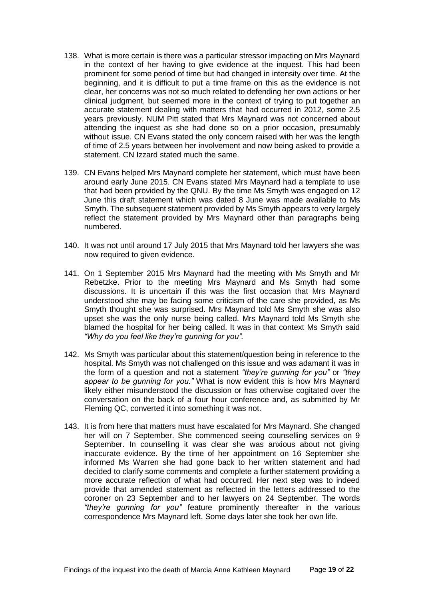- 138. What is more certain is there was a particular stressor impacting on Mrs Maynard in the context of her having to give evidence at the inquest. This had been prominent for some period of time but had changed in intensity over time. At the beginning, and it is difficult to put a time frame on this as the evidence is not clear, her concerns was not so much related to defending her own actions or her clinical judgment, but seemed more in the context of trying to put together an accurate statement dealing with matters that had occurred in 2012, some 2.5 years previously. NUM Pitt stated that Mrs Maynard was not concerned about attending the inquest as she had done so on a prior occasion, presumably without issue. CN Evans stated the only concern raised with her was the length of time of 2.5 years between her involvement and now being asked to provide a statement. CN Izzard stated much the same.
- 139. CN Evans helped Mrs Maynard complete her statement, which must have been around early June 2015. CN Evans stated Mrs Maynard had a template to use that had been provided by the QNU. By the time Ms Smyth was engaged on 12 June this draft statement which was dated 8 June was made available to Ms Smyth. The subsequent statement provided by Ms Smyth appears to very largely reflect the statement provided by Mrs Maynard other than paragraphs being numbered.
- 140. It was not until around 17 July 2015 that Mrs Maynard told her lawyers she was now required to given evidence.
- 141. On 1 September 2015 Mrs Maynard had the meeting with Ms Smyth and Mr Rebetzke. Prior to the meeting Mrs Maynard and Ms Smyth had some discussions. It is uncertain if this was the first occasion that Mrs Maynard understood she may be facing some criticism of the care she provided, as Ms Smyth thought she was surprised. Mrs Maynard told Ms Smyth she was also upset she was the only nurse being called. Mrs Maynard told Ms Smyth she blamed the hospital for her being called. It was in that context Ms Smyth said *"Why do you feel like they're gunning for you".*
- 142. Ms Smyth was particular about this statement/question being in reference to the hospital. Ms Smyth was not challenged on this issue and was adamant it was in the form of a question and not a statement *"they're gunning for you"* or *"they appear to be gunning for you."* What is now evident this is how Mrs Maynard likely either misunderstood the discussion or has otherwise cogitated over the conversation on the back of a four hour conference and, as submitted by Mr Fleming QC, converted it into something it was not.
- 143. It is from here that matters must have escalated for Mrs Maynard. She changed her will on 7 September. She commenced seeing counselling services on 9 September. In counselling it was clear she was anxious about not giving inaccurate evidence. By the time of her appointment on 16 September she informed Ms Warren she had gone back to her written statement and had decided to clarify some comments and complete a further statement providing a more accurate reflection of what had occurred. Her next step was to indeed provide that amended statement as reflected in the letters addressed to the coroner on 23 September and to her lawyers on 24 September. The words *"they're gunning for you"* feature prominently thereafter in the various correspondence Mrs Maynard left. Some days later she took her own life.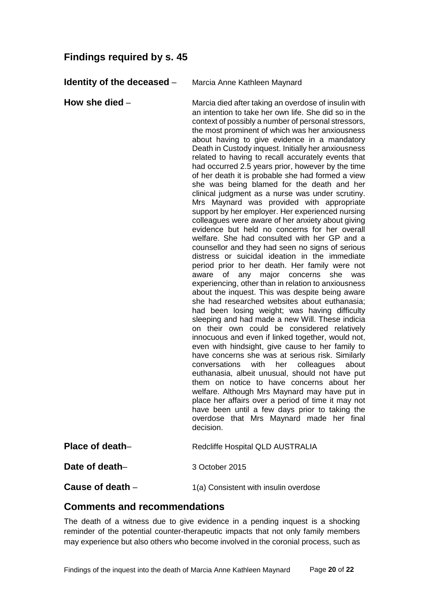# <span id="page-21-0"></span>**Findings required by s. 45**

<span id="page-21-1"></span>**Identity of the deceased** – Marcia Anne Kathleen Maynard

<span id="page-21-2"></span>**How she died** – Marcia died after taking an overdose of insulin with an intention to take her own life. She did so in the context of possibly a number of personal stressors, the most prominent of which was her anxiousness about having to give evidence in a mandatory Death in Custody inquest. Initially her anxiousness related to having to recall accurately events that had occurred 2.5 years prior, however by the time of her death it is probable she had formed a view she was being blamed for the death and her clinical judgment as a nurse was under scrutiny. Mrs Maynard was provided with appropriate support by her employer. Her experienced nursing colleagues were aware of her anxiety about giving evidence but held no concerns for her overall welfare. She had consulted with her GP and a counsellor and they had seen no signs of serious distress or suicidal ideation in the immediate period prior to her death. Her family were not aware of any major concerns she was experiencing, other than in relation to anxiousness about the inquest. This was despite being aware she had researched websites about euthanasia; had been losing weight; was having difficulty sleeping and had made a new Will. These indicia on their own could be considered relatively innocuous and even if linked together, would not, even with hindsight, give cause to her family to have concerns she was at serious risk. Similarly conversations with her colleagues about euthanasia, albeit unusual, should not have put them on notice to have concerns about her welfare. Although Mrs Maynard may have put in place her affairs over a period of time it may not have been until a few days prior to taking the overdose that Mrs Maynard made her final decision.

<span id="page-21-4"></span><span id="page-21-3"></span>

| Place of death-    | <b>Redcliffe Hospital QLD AUSTRALIA</b> |
|--------------------|-----------------------------------------|
| Date of death-     | 3 October 2015                          |
| Cause of death $-$ | 1(a) Consistent with insulin overdose   |

### <span id="page-21-6"></span><span id="page-21-5"></span>**Comments and recommendations**

The death of a witness due to give evidence in a pending inquest is a shocking reminder of the potential counter-therapeutic impacts that not only family members may experience but also others who become involved in the coronial process, such as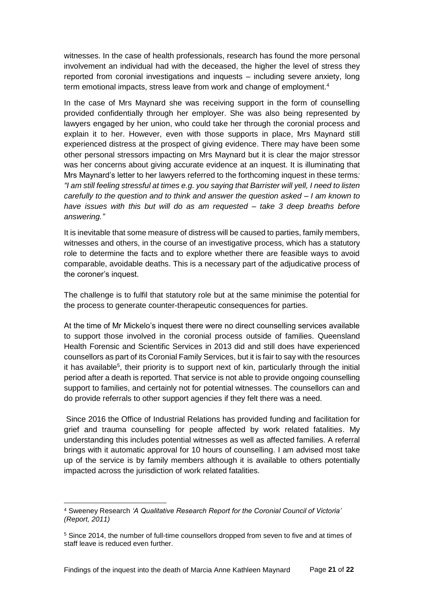witnesses. In the case of health professionals, research has found the more personal involvement an individual had with the deceased, the higher the level of stress they reported from coronial investigations and inquests – including severe anxiety, long term emotional impacts, stress leave from work and change of employment.<sup>4</sup>

In the case of Mrs Maynard she was receiving support in the form of counselling provided confidentially through her employer. She was also being represented by lawyers engaged by her union, who could take her through the coronial process and explain it to her. However, even with those supports in place, Mrs Maynard still experienced distress at the prospect of giving evidence. There may have been some other personal stressors impacting on Mrs Maynard but it is clear the major stressor was her concerns about giving accurate evidence at an inquest. It is illuminating that Mrs Maynard's letter to her lawyers referred to the forthcoming inquest in these terms*: "I am still feeling stressful at times e.g. you saying that Barrister will yell, I need to listen carefully to the question and to think and answer the question asked – I am known to have issues with this but will do as am requested – take 3 deep breaths before answering."*

It is inevitable that some measure of distress will be caused to parties, family members, witnesses and others, in the course of an investigative process, which has a statutory role to determine the facts and to explore whether there are feasible ways to avoid comparable, avoidable deaths. This is a necessary part of the adjudicative process of the coroner's inquest.

The challenge is to fulfil that statutory role but at the same minimise the potential for the process to generate counter-therapeutic consequences for parties.

At the time of Mr Mickelo's inquest there were no direct counselling services available to support those involved in the coronial process outside of families. Queensland Health Forensic and Scientific Services in 2013 did and still does have experienced counsellors as part of its Coronial Family Services, but it is fair to say with the resources it has available<sup>5</sup>, their priority is to support next of kin, particularly through the initial period after a death is reported. That service is not able to provide ongoing counselling support to families, and certainly not for potential witnesses. The counsellors can and do provide referrals to other support agencies if they felt there was a need.

Since 2016 the Office of Industrial Relations has provided funding and facilitation for grief and trauma counselling for people affected by work related fatalities. My understanding this includes potential witnesses as well as affected families. A referral brings with it automatic approval for 10 hours of counselling. I am advised most take up of the service is by family members although it is available to others potentially impacted across the jurisdiction of work related fatalities.

l

<sup>4</sup> Sweeney Research *'A Qualitative Research Report for the Coronial Council of Victoria' (Report, 2011)*

<sup>5</sup> Since 2014, the number of full-time counsellors dropped from seven to five and at times of staff leave is reduced even further.